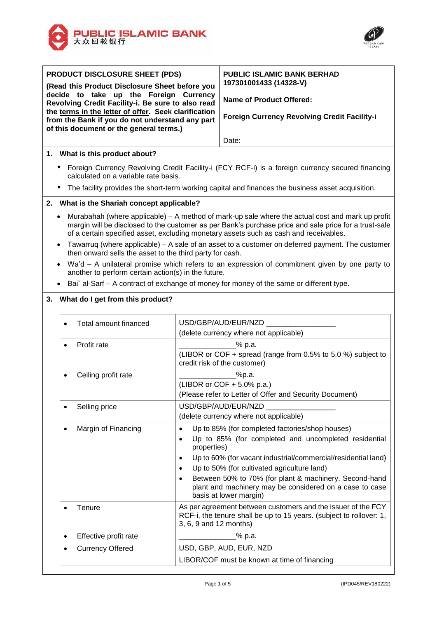



ī

| <b>PRODUCT DISCLOSURE SHEET (PDS)</b>                                                                                                                                                                                                                                                               |                                                                                                                                                                                                                                                                                                    |                                                                 | <b>PUBLIC ISLAMIC BANK BERHAD</b>                                                                                                                                                                                                                                                                                                                                      |  |  |  |
|-----------------------------------------------------------------------------------------------------------------------------------------------------------------------------------------------------------------------------------------------------------------------------------------------------|----------------------------------------------------------------------------------------------------------------------------------------------------------------------------------------------------------------------------------------------------------------------------------------------------|-----------------------------------------------------------------|------------------------------------------------------------------------------------------------------------------------------------------------------------------------------------------------------------------------------------------------------------------------------------------------------------------------------------------------------------------------|--|--|--|
| (Read this Product Disclosure Sheet before you<br>decide to take up the Foreign Currency<br>Revolving Credit Facility-i. Be sure to also read<br>the terms in the letter of offer. Seek clarification<br>from the Bank if you do not understand any part<br>of this document or the general terms.) |                                                                                                                                                                                                                                                                                                    |                                                                 | 197301001433 (14328-V)<br><b>Name of Product Offered:</b>                                                                                                                                                                                                                                                                                                              |  |  |  |
|                                                                                                                                                                                                                                                                                                     |                                                                                                                                                                                                                                                                                                    |                                                                 | <b>Foreign Currency Revolving Credit Facility-i</b>                                                                                                                                                                                                                                                                                                                    |  |  |  |
|                                                                                                                                                                                                                                                                                                     |                                                                                                                                                                                                                                                                                                    |                                                                 | Date:                                                                                                                                                                                                                                                                                                                                                                  |  |  |  |
|                                                                                                                                                                                                                                                                                                     | 1. What is this product about?                                                                                                                                                                                                                                                                     |                                                                 |                                                                                                                                                                                                                                                                                                                                                                        |  |  |  |
|                                                                                                                                                                                                                                                                                                     | • Foreign Currency Revolving Credit Facility-i (FCY RCF-i) is a foreign currency secured financing<br>calculated on a variable rate basis.                                                                                                                                                         |                                                                 |                                                                                                                                                                                                                                                                                                                                                                        |  |  |  |
|                                                                                                                                                                                                                                                                                                     | The facility provides the short-term working capital and finances the business asset acquisition.                                                                                                                                                                                                  |                                                                 |                                                                                                                                                                                                                                                                                                                                                                        |  |  |  |
|                                                                                                                                                                                                                                                                                                     | 2. What is the Shariah concept applicable?                                                                                                                                                                                                                                                         |                                                                 |                                                                                                                                                                                                                                                                                                                                                                        |  |  |  |
|                                                                                                                                                                                                                                                                                                     | Murabahah (where applicable) – A method of mark-up sale where the actual cost and mark up profit<br>margin will be disclosed to the customer as per Bank's purchase price and sale price for a trust-sale<br>of a certain specified asset, excluding monetary assets such as cash and receivables. |                                                                 |                                                                                                                                                                                                                                                                                                                                                                        |  |  |  |
| $\bullet$                                                                                                                                                                                                                                                                                           | then onward sells the asset to the third party for cash.                                                                                                                                                                                                                                           |                                                                 | Tawarruq (where applicable) – A sale of an asset to a customer on deferred payment. The customer                                                                                                                                                                                                                                                                       |  |  |  |
|                                                                                                                                                                                                                                                                                                     | Wa'd - A unilateral promise which refers to an expression of commitment given by one party to<br>another to perform certain action(s) in the future.                                                                                                                                               |                                                                 |                                                                                                                                                                                                                                                                                                                                                                        |  |  |  |
| $\bullet$                                                                                                                                                                                                                                                                                           |                                                                                                                                                                                                                                                                                                    |                                                                 | Bai` al-Sarf – A contract of exchange of money for money of the same or different type.                                                                                                                                                                                                                                                                                |  |  |  |
|                                                                                                                                                                                                                                                                                                     | 3. What do I get from this product?                                                                                                                                                                                                                                                                |                                                                 |                                                                                                                                                                                                                                                                                                                                                                        |  |  |  |
|                                                                                                                                                                                                                                                                                                     | Total amount financed<br>$\bullet$                                                                                                                                                                                                                                                                 |                                                                 | USD/GBP/AUD/EUR/NZD<br>(delete currency where not applicable)                                                                                                                                                                                                                                                                                                          |  |  |  |
|                                                                                                                                                                                                                                                                                                     | Profit rate<br>$\bullet$                                                                                                                                                                                                                                                                           |                                                                 | % p.a.                                                                                                                                                                                                                                                                                                                                                                 |  |  |  |
|                                                                                                                                                                                                                                                                                                     |                                                                                                                                                                                                                                                                                                    |                                                                 | (LIBOR or COF + spread (range from 0.5% to 5.0 %) subject to<br>credit risk of the customer)                                                                                                                                                                                                                                                                           |  |  |  |
|                                                                                                                                                                                                                                                                                                     | Ceiling profit rate<br>$\bullet$                                                                                                                                                                                                                                                                   |                                                                 | _%p.a.                                                                                                                                                                                                                                                                                                                                                                 |  |  |  |
|                                                                                                                                                                                                                                                                                                     |                                                                                                                                                                                                                                                                                                    |                                                                 | (LIBOR or COF + 5.0% p.a.)<br>(Please refer to Letter of Offer and Security Document)                                                                                                                                                                                                                                                                                  |  |  |  |
|                                                                                                                                                                                                                                                                                                     | Selling price                                                                                                                                                                                                                                                                                      |                                                                 | USD/GBP/AUD/EUR/NZD                                                                                                                                                                                                                                                                                                                                                    |  |  |  |
|                                                                                                                                                                                                                                                                                                     |                                                                                                                                                                                                                                                                                                    |                                                                 | (delete currency where not applicable)                                                                                                                                                                                                                                                                                                                                 |  |  |  |
|                                                                                                                                                                                                                                                                                                     | Margin of Financing<br>٠                                                                                                                                                                                                                                                                           | $\bullet$<br>$\bullet$<br>properties)<br>$\bullet$<br>$\bullet$ | Up to 85% (for completed factories/shop houses)<br>Up to 85% (for completed and uncompleted residential<br>Up to 60% (for vacant industrial/commercial/residential land)<br>Up to 50% (for cultivated agriculture land)<br>Between 50% to 70% (for plant & machinery. Second-hand<br>plant and machinery may be considered on a case to case<br>basis at lower margin) |  |  |  |
|                                                                                                                                                                                                                                                                                                     | Tenure<br>٠                                                                                                                                                                                                                                                                                        | 3, 6, 9 and 12 months)                                          | As per agreement between customers and the issuer of the FCY<br>RCF-i, the tenure shall be up to 15 years. (subject to rollover: 1,                                                                                                                                                                                                                                    |  |  |  |
|                                                                                                                                                                                                                                                                                                     | Effective profit rate<br>$\bullet$                                                                                                                                                                                                                                                                 |                                                                 | % p.a.                                                                                                                                                                                                                                                                                                                                                                 |  |  |  |
|                                                                                                                                                                                                                                                                                                     | <b>Currency Offered</b><br>$\bullet$                                                                                                                                                                                                                                                               |                                                                 | USD, GBP, AUD, EUR, NZD                                                                                                                                                                                                                                                                                                                                                |  |  |  |
|                                                                                                                                                                                                                                                                                                     |                                                                                                                                                                                                                                                                                                    |                                                                 | LIBOR/COF must be known at time of financing                                                                                                                                                                                                                                                                                                                           |  |  |  |

٦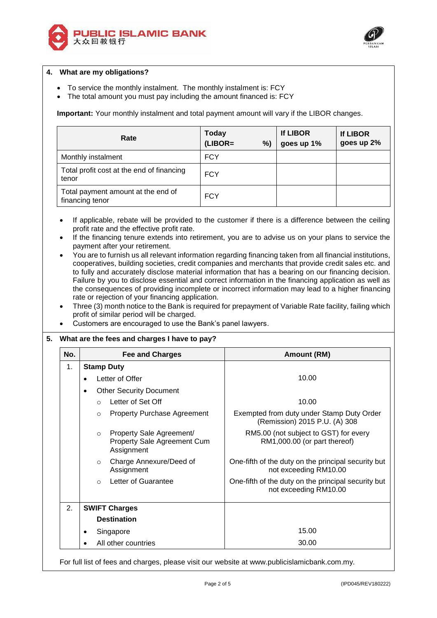



## **4. What are my obligations?**

- To service the monthly instalment. The monthly instalment is: FCY
- The total amount you must pay including the amount financed is: FCY

**Important:** Your monthly instalment and total payment amount will vary if the LIBOR changes.

| Rate                                                  | <b>Today</b><br>$(LIBOR=$<br>% | <b>If LIBOR</b><br>goes up 1% | <b>If LIBOR</b><br>goes up 2% |
|-------------------------------------------------------|--------------------------------|-------------------------------|-------------------------------|
| Monthly instalment                                    | <b>FCY</b>                     |                               |                               |
| Total profit cost at the end of financing<br>tenor    | <b>FCY</b>                     |                               |                               |
| Total payment amount at the end of<br>financing tenor | <b>FCY</b>                     |                               |                               |

 If applicable, rebate will be provided to the customer if there is a difference between the ceiling profit rate and the effective profit rate.

- If the financing tenure extends into retirement, you are to advise us on your plans to service the payment after your retirement.
- You are to furnish us all relevant information regarding financing taken from all financial institutions, cooperatives, building societies, credit companies and merchants that provide credit sales etc. and to fully and accurately disclose material information that has a bearing on our financing decision. Failure by you to disclose essential and correct information in the financing application as well as the consequences of providing incomplete or incorrect information may lead to a higher financing rate or rejection of your financing application.
- Three (3) month notice to the Bank is required for prepayment of Variable Rate facility, failing which profit of similar period will be charged.
- Customers are encouraged to use the Bank's panel lawyers.

### **5. What are the fees and charges I have to pay?**

| No. | <b>Fee and Charges</b>                                                           | <b>Amount (RM)</b>                                                           |  |
|-----|----------------------------------------------------------------------------------|------------------------------------------------------------------------------|--|
| 1.  | <b>Stamp Duty</b>                                                                |                                                                              |  |
|     | Letter of Offer                                                                  | 10.00                                                                        |  |
|     | <b>Other Security Document</b>                                                   |                                                                              |  |
|     | Letter of Set Off<br>$\bigcirc$                                                  | 10.00                                                                        |  |
|     | <b>Property Purchase Agreement</b><br>$\circ$                                    | Exempted from duty under Stamp Duty Order<br>(Remission) 2015 P.U. (A) 308   |  |
|     | Property Sale Agreement/<br>$\circ$<br>Property Sale Agreement Cum<br>Assignment | RM5.00 (not subject to GST) for every<br>RM1,000.00 (or part thereof)        |  |
|     | Charge Annexure/Deed of<br>$\circ$<br>Assignment                                 | One-fifth of the duty on the principal security but<br>not exceeding RM10.00 |  |
|     | Letter of Guarantee<br>$\circ$                                                   | One-fifth of the duty on the principal security but<br>not exceeding RM10.00 |  |
| 2.  | <b>SWIFT Charges</b>                                                             |                                                                              |  |
|     | <b>Destination</b>                                                               |                                                                              |  |
|     | Singapore                                                                        | 15.00                                                                        |  |
|     | All other countries                                                              | 30.00                                                                        |  |

For full list of fees and charges, please visit our website at www.publicislamicbank.com.my.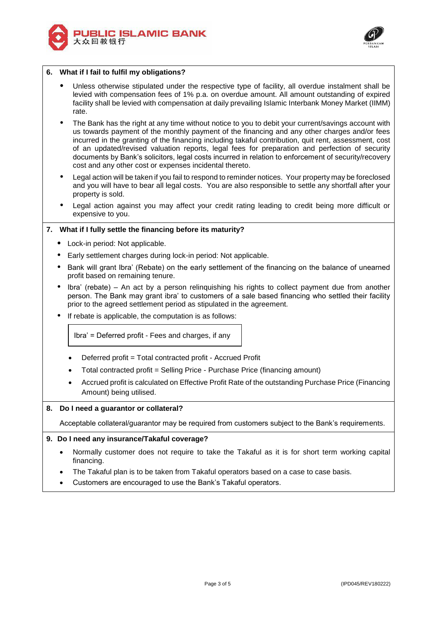



# **6. What if I fail to fulfil my obligations?**

- Unless otherwise stipulated under the respective type of facility, all overdue instalment shall be levied with compensation fees of 1% p.a. on overdue amount. All amount outstanding of expired facility shall be levied with compensation at daily prevailing Islamic Interbank Money Market (IIMM) rate.
- The Bank has the right at any time without notice to you to debit your current/savings account with us towards payment of the monthly payment of the financing and any other charges and/or fees incurred in the granting of the financing including takaful contribution, quit rent, assessment, cost of an updated/revised valuation reports, legal fees for preparation and perfection of security documents by Bank's solicitors, legal costs incurred in relation to enforcement of security/recovery cost and any other cost or expenses incidental thereto.
- Legal action will be taken if you fail to respond to reminder notices. Your property may be foreclosed and you will have to bear all legal costs. You are also responsible to settle any shortfall after your property is sold.
- Legal action against you may affect your credit rating leading to credit being more difficult or expensive to you.

## **7. What if I fully settle the financing before its maturity?**

- Lock-in period: Not applicable.
- Early settlement charges during lock-in period: Not applicable.
- Bank will grant Ibra' (Rebate) on the early settlement of the financing on the balance of unearned profit based on remaining tenure.
- Ibra' (rebate) An act by a person relinquishing his rights to collect payment due from another person. The Bank may grant ibra' to customers of a sale based financing who settled their facility prior to the agreed settlement period as stipulated in the agreement.
- If rebate is applicable, the computation is as follows:

Ibra' = Deferred profit - Fees and charges, if any

- Deferred profit = Total contracted profit Accrued Profit
- Total contracted profit = Selling Price Purchase Price (financing amount)
- Accrued profit is calculated on Effective Profit Rate of the outstanding Purchase Price (Financing Amount) being utilised.

### **8. Do I need a guarantor or collateral?**

Acceptable collateral/guarantor may be required from customers subject to the Bank's requirements.

### **9. Do I need any insurance/Takaful coverage?**

- Normally customer does not require to take the Takaful as it is for short term working capital financing.
- The Takaful plan is to be taken from Takaful operators based on a case to case basis.
- Customers are encouraged to use the Bank's Takaful operators.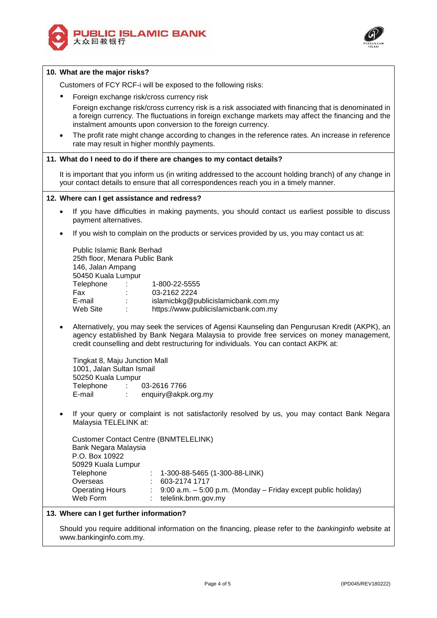



#### **10. What are the major risks?**

Customers of FCY RCF-i will be exposed to the following risks:

Foreign exchange risk/cross currency risk

Foreign exchange risk/cross currency risk is a risk associated with financing that is denominated in a foreign currency. The fluctuations in foreign exchange markets may affect the financing and the instalment amounts upon conversion to the foreign currency.

 The profit rate might change according to changes in the reference rates. An increase in reference rate may result in higher monthly payments.

#### **11. What do I need to do if there are changes to my contact details?**

It is important that you inform us (in writing addressed to the account holding branch) of any change in your contact details to ensure that all correspondences reach you in a timely manner.

#### **12. Where can I get assistance and redress?**

- If you have difficulties in making payments, you should contact us earliest possible to discuss payment alternatives.
- If you wish to complain on the products or services provided by us, you may contact us at:

|                                        | <b>Public Islamic Bank Berhad</b><br>25th floor, Menara Public Bank<br>146, Jalan Ampang<br>50450 Kuala Lumpur |                                                                                                              |  |  |  |
|----------------------------------------|----------------------------------------------------------------------------------------------------------------|--------------------------------------------------------------------------------------------------------------|--|--|--|
| Telephone<br>Fax<br>E-mail<br>Web Site | ÷<br>÷<br>$\bullet$<br>٠<br>٠                                                                                  | 1-800-22-5555<br>03-2162 2224<br>islamicbkg@publicislamicbank.com.my<br>https://www.publicislamicbank.com.my |  |  |  |

 Alternatively, you may seek the services of Agensi Kaunseling dan Pengurusan Kredit (AKPK), an agency established by Bank Negara Malaysia to provide free services on money management, credit counselling and debt restructuring for individuals. You can contact AKPK at:

 Tingkat 8, Maju Junction Mall 1001, Jalan Sultan Ismail 50250 Kuala Lumpur Telephone : 03-2616 7766 E-mail : enquiry@akpk.org.my

 If your query or complaint is not satisfactorily resolved by us, you may contact Bank Negara Malaysia TELELINK at:

| <b>Customer Contact Centre (BNMTELELINK)</b> |  |                                                                    |  |  |  |
|----------------------------------------------|--|--------------------------------------------------------------------|--|--|--|
| Bank Negara Malaysia                         |  |                                                                    |  |  |  |
| P.O. Box 10922                               |  |                                                                    |  |  |  |
| 50929 Kuala Lumpur                           |  |                                                                    |  |  |  |
| Telephone                                    |  | $: 1-300-88-5465(1-300-88-LINK)$                                   |  |  |  |
| Overseas                                     |  | 603-2174 1717                                                      |  |  |  |
| <b>Operating Hours</b>                       |  | $9:00$ a.m. $-5:00$ p.m. (Monday $-$ Friday except public holiday) |  |  |  |
| Web Form                                     |  | telelink.bnm.gov.my                                                |  |  |  |

#### **13. Where can I get further information?**

Should you require additional information on the financing, please refer to the *bankinginfo* website at www.bankinginfo.com.my.